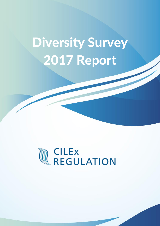# Diversity Survey 2017 Report

# **WEGULATION**

e: [info@cilexregulation.org.uk](mailto:info@cilexregulation.org.uk)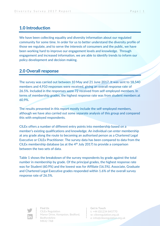# **1.0 Introduction**

We have been collecting equality and diversity information about our regulated community for some time. In order for us to better understand the diversity profile of those we regulate, and to serve the interests of consumers and the public, we have been working hard to improve our engagement levels and knowledge. Through engagement and increased information, we are able to identify trends to inform our policy development and decision making.

# **2.0 Overall response**

The survey was carried out between 10 May and 21 June 2017. It was sent to 18,540 members and 4,910 responses were received, giving an overall response rate of 26.5%. Included in the responses were 72 received from self-employed members. In terms of membership grades, the highest response rate was from student members at 60.9%.

The results presented in this report mostly include the self-employed members, although we have also carried out some separate analysis of this group and compared this with employed respondents.

CILEx offers a number of different entry points into membership based on a member's existing qualifications and knowledge. An individual can enter membership at any grade along the route to becoming an authorised person as a Chartered Legal Executive or CILEx Practitioner. The survey data has been compared to data from the CILEx membership database (as at the  $4<sup>th</sup>$  July 2017) to provide a comparison between the two sets of data.

Table 1 shows the breakdown of the survey respondents by grade against the total number in membership by grade. Of the principal grades, the highest response rate was for Student (60.9%) and the lowest was for Affiliate (16.5%). Associate, Graduate and Chartered Legal Executive grades responded within 1.6% of the overall survey response rate of 26.5%.



**Find Us** CILEx Regulation Manor Drive, Kempston, Bedford, Bedfordshire MK42 7AB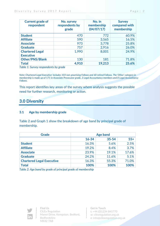| <b>Current grade of</b><br>respondent      | No. survey<br>respondents by<br>grade | No. in<br>membership<br>(04/07/17) | <b>Survey</b><br>compared with<br>membership |
|--------------------------------------------|---------------------------------------|------------------------------------|----------------------------------------------|
| <b>Student</b>                             | 470                                   | 772                                | 60.9%                                        |
| <b>Affiliate</b>                           | 590                                   | 3,565                              | 16.5%                                        |
| <b>Associate</b>                           | 973                                   | 3,778                              | 25.8%                                        |
| <b>Graduate</b>                            | 757                                   | 2,916                              | 26.0%                                        |
| <b>Chartered Legal</b><br><b>Executive</b> | 1,990                                 | 8,001                              | 24.9%                                        |
| <b>Other/PNS/Blank</b>                     | 130                                   | 181                                | 71.8%                                        |
| <b>Total</b>                               | 4,910                                 | 19,213                             | 25.6%                                        |

*Table 1: Survey respondents by grade*

*Note: Chartered Legal Executive' includes 103 non-practising Fellows and 60 retired Fellows. The 'Other' category in membership is made up of 171 in Associate Prosecutor grade, 2 Legal Accountancy members and 8 Legal Accountancy Fellows.*

This report identifies key areas of the survey where analysis suggests the possible need for further research, monitoring or action.

# **3.0 Diversity**

#### **3.1 Age by membership grade**

Table 2 and Graph 1 show the breakdown of age band by principal grade of membership.

| <b>Grade</b>                     | <b>Age band</b> |           |         |  |
|----------------------------------|-----------------|-----------|---------|--|
|                                  | 16-34           | $35 - 54$ | $55+$   |  |
| <b>Student</b>                   | 16.3%           | 5.6%      | 2.5%    |  |
| <b>Affiliate</b>                 | 19.2%           | 8.4%      | 3.7%    |  |
| <b>Associate</b>                 | 23.9%           | 19.1%     | 17.6%   |  |
| <b>Graduate</b>                  | 24.2%           | 11.6%     | $5.1\%$ |  |
| <b>Chartered Legal Executive</b> | 16.3%           | 55.3%     | 71.0%   |  |
| <b>Total</b>                     | 100%            | 100%      | 100%    |  |

*Table 2: Age band by grade of principal grade of membership*



**Find Us** CILEx Regulation Manor Drive, Kempston, Bedford, Bedfordshire MK42 7AB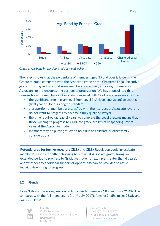

*Graph 1: Age band by principal grade of membership*

The graph shows that the percentage of members aged 35 and over is lower in the Graduate grade compared with the Associate grade or the Chartered Legal Executive grade. This may indicate that some members are actively choosing to remain as Associates or are encountering barriers to progression. We have speculated that reasons for more members in Associate compared with Graduate grades may include:

- the significant step in exam level from Level 3 (A' level equivalent) to Level 6 (final year of Honours degree standard);
- a proportion of members are satisfied with their careers at Associate level and do not want to progress to become a fully qualified lawyer;
- the time required (at least 2 years) to complete the Level 6 exams means that those wishing to progress to Graduate grade are typically spending several years at the Associate grade;
- members may be putting study on hold due to childcare or other family considerations.

**Potential area for further research**: CILEx and CILEx Regulation could investigate members' reasons for either choosing to remain at Associate grade, taking an extended period to progress to Graduate grade (for example, greater than 4 years), and whether any additional support or opportunity can be provided to assist individuals wishing to progress.

#### **3.2 Gender**

Table 3 shows the survey respondents by gender: female 76.8% and male 21.4%. This compares with the full membership (at 4<sup>th</sup> July 2017): female: 74.5%, male: 25.0% and unknown: 0.5%.



**Find Us** CILEx Regulation Manor Drive, Kempston, Bedford, Bedfordshire MK42 7AB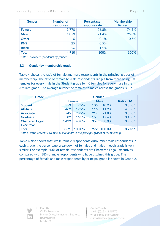| <b>Gender</b> | <b>Number of</b><br>responses | <b>Percentage</b><br>response rate | <b>Membership</b><br><b>figures</b> |
|---------------|-------------------------------|------------------------------------|-------------------------------------|
| <b>Female</b> | 3,770                         | 76.8%                              | 74.5%                               |
| <b>Male</b>   | 1,053                         | 21.4%                              | 25.0%                               |
| <b>Other</b>  | 6                             | 0.1%                               | 0.5%                                |
| <b>PNS</b>    | 25                            | 0.5%                               |                                     |
| <b>Blank</b>  | 56                            | 1.1%                               |                                     |
| <b>Total</b>  | 4,910                         | 100%                               | 100%                                |

*Table 3: Survey respondents by gender*

#### **3.3 Gender by membership grade**

Table 4 shows the ratio of female and male respondents in the principal grades of membership. The ratio of female to male respondents ranges from there being 3.3 females for every male in the Student grade to 4.0 females for every male in the Affiliate grade. The average number of females to males across the grades is 3.7.

| <b>Grade</b>           | <b>Gender</b> |               |     |             |                  |
|------------------------|---------------|---------------|-----|-------------|------------------|
|                        |               | <b>Female</b> |     | <b>Male</b> | <b>Ratio F:M</b> |
| <b>Student</b>         | 353           | 9.9%          | 106 | 10.9%       | 3.3 to 1         |
| <b>Affiliate</b>       | 462           | 12.9%         | 116 | 11.9%       | 4.0 to 1         |
| <b>Associate</b>       | 745           | 20.9%         | 212 | 21.8%       | 3.5 to 1         |
| <b>Graduate</b>        | 582           | 16.3%         | 169 | 17.4%       | 3.4 to 1         |
| <b>Chartered Legal</b> | 1,429         | 40.0%         | 369 | 38.0%       | 3.9 to 1         |
| <b>Executive</b>       |               |               |     |             |                  |
| <b>Total</b>           | 3,571         | 100.0%        | 972 | 100.0%      | 3.7 to 1         |

*Table 4: Ratio of female to male respondents in the principal grades of membership*

Table 4 also shows that, while female respondents outnumber male respondents in each grade, the percentage breakdown of females and males in each grade is very similar. For example, 40% of female respondents are Chartered Legal Executives compared with 38% of male respondents who have attained this grade. The percentage of female and male respondents by principal grade is shown in Graph 2.



**Find Us** CILEx Regulation Manor Drive, Kempston, Bedford, Bedfordshire MK42 7AB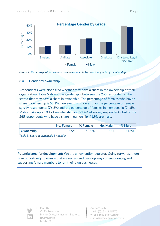

*Graph 2: Percentage of female and male respondents by principal grade of membership*

#### **3.4 Gender by ownership**

Respondents were also asked whether they have a share in the ownership of their organisation. Table 5 shows the gender split between the 265 respondents who stated that they have a share in ownership. The percentage of females who have a share in ownership is 58.1%, however this is lower than the percentage of female survey respondents (76.8%) and the percentage of females in membership (74.5%). Males make up 25.0% of membership and 21.4% of survey respondents, but of the 265 respondents who have a share in ownership, 41.9% are male.

|           | No. Female   % Female   No. Male |       |     | <b>% Male</b> |
|-----------|----------------------------------|-------|-----|---------------|
| Ownership | 154                              | 58.1% | 111 | 41 9%         |

*Table 5: Share in ownership by gender*

**Potential area for development:** We are a new entity regulator. Going forwards, there is an opportunity to ensure that we review and develop ways of encouraging and supporting female members to run their own businesses.



**Find Us** CILEx Regulation Manor Drive, Kempston, Bedford, Bedfordshire MK42 7AB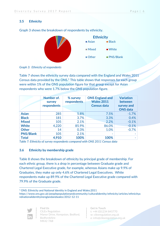#### **3.5 Ethnicity**



Graph 3 shows the breakdown of respondents by ethnicity.

Table 7 shows the ethnicity survey data compared with the England and Wales 2011 Census data provided by the ONS.<sup>1</sup> This table shows that responses for each group were within 1% of the ONS population figure for that group except for Asian respondents who were 1.7% below the ONS population figure.

|                  | Number of.<br>survey<br>respondents | % survey<br>respondents | <b>ONS England and</b><br><b>Wales 2011</b><br><b>Census data</b> | <b>Variation</b><br>between<br>survey and<br><b>ONS</b> data |
|------------------|-------------------------------------|-------------------------|-------------------------------------------------------------------|--------------------------------------------------------------|
| <b>Asian</b>     | 285                                 | 5.8%                    | 7.5%                                                              | $-1.7%$                                                      |
| <b>Black</b>     | 181                                 | 3.7%                    | 3.3%                                                              | 0.4%                                                         |
| <b>Mixed</b>     | 105                                 | 2.1%                    | 2.2%                                                              | $-0.1%$                                                      |
| <b>White</b>     | 4,220                               | 85.9%                   | 86.0%                                                             | $-0.1%$                                                      |
| <b>Other</b>     | 14                                  | 0.3%                    | 1.0%                                                              | $-0.7%$                                                      |
| <b>PNS/Blank</b> | 105                                 | 2.1%                    |                                                                   |                                                              |
| <b>Total</b>     | 4,910                               | 100%                    | 100%                                                              |                                                              |

*Table 7: Ethnicity of survey respondents compared with ONS 2011 Census data*

#### **3.6 Ethnicity by membership grade**

Table 8 shows the breakdown of ethnicity by principal grade of membership. For each ethnic group, there is a drop in percentage between Graduate grade and Chartered Legal Executive grade, for example, whereas Asians make up 9.9% of Graduates, they make up only 4.6% of Chartered Legal Executives. White respondents make up 89.9% of the Chartered Legal Executive grade compared with 79.9% of the Graduate grade.

https://www.ons.gov.uk/peoplepopulationandcommunity/culturalidentity/ethnicity/articles/ethnicitya ndnationalidentityinenglandandwales/2012-12-11



-

*Graph 3: Ethnicity of respondents*

<sup>1</sup> ONS: Ethnicity and National Identity in England and Wales:2011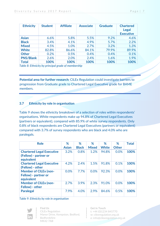| <b>Ethnicity</b> | <b>Student</b> | <b>Affiliate</b> | <b>Associate</b> | <b>Graduate</b> | <b>Chartered</b><br><b>Legal</b><br><b>Executive</b> |
|------------------|----------------|------------------|------------------|-----------------|------------------------------------------------------|
| <b>Asian</b>     | 6.6%           | 5.8%             | 5.5%             | 9.2%            | 4.6%                                                 |
| <b>Black</b>     | 3.4%           | 4.1%             | 4.9%             | 5.7%            | 2.2%                                                 |
| <b>Mixed</b>     | 4.5%           | 1.0%             | 2.7%             | 3.2%            | 1.3%                                                 |
| <b>White</b>     | 82.8%          | 86.6%            | 84.1%            | 79.9%           | 89.9%                                                |
| <b>Other</b>     | 0.2%           | 0.5%             | 0.4%             | 0.4%            | 0.1%                                                 |
| <b>PNS/Blank</b> | 2.6%           | 2.0%             | 2.4%             | 1.6%            | 1.9%                                                 |
| <b>Total</b>     | 100%           | 100%             | 100%             | 100%            | 100%                                                 |

*Table 8: Ethnicity by principal grade of membership*

**Potential area for further research:** CILEx Regulation could investigate barriers to progression from Graduate grade to Chartered Legal Executive grade for BAME members.

#### **3.7 Ethnicity by role in organisation**

Table 9 shows the ethnicity breakdown of a selection of roles within respondents' organisations. White respondents make up 94.8% of Chartered Legal Executives (partners or equivalent), compared with 85.9% of white survey respondents. Only 0.8% of black respondents are Chartered Legal Executives (partners or equivalent) compared with 3.7% of survey respondents who are black and 4.0% who are paralegals.

| <b>Role</b>                                                             | %<br><b>Asian</b> | %<br><b>Black</b> | %<br><b>Mixed</b> | %<br><b>White</b> | %<br><b>Other</b> | <b>Total</b> |
|-------------------------------------------------------------------------|-------------------|-------------------|-------------------|-------------------|-------------------|--------------|
| <b>Chartered Legal Executive</b><br>(Fellow) - partner or<br>equivalent | 3.2%              | 0.8%              | 1.2%              | 94.8%             | 0.0%              | 100%         |
| <b>Chartered Legal Executive</b><br>(Fellow) - other                    | 4.2%              | 2.4%              | 1.5%              | 91.8%             | 0.1%              | 100%         |
| <b>Member of CILEx (non-</b><br>Fellow) - partner or<br>equivalent      | 0.0%              | 7.7%              | 0.0%              | 92.3%             | 0.0%              | 100%         |
| <b>Member of CILEx (non-</b><br>Fellow) - other                         | 2.7%              | 3.9%              | 2.3%              | 91.0%             | 0.0%              | 100%         |
| <b>Paralegal</b>                                                        | 7.9%              | 4.0%              | 2.9%              | 84.6%             | 0.5%              | 100%         |

*Table 9: Ethnicity by role in organisation*



**Find Us** CILEx Regulation Manor Drive, Kempston, Bedford, Bedfordshire MK42 7AB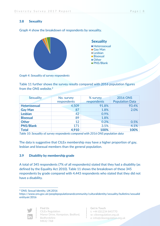#### **3.8 Sexuality**



Graph 4 show the breakdown of respondents by sexuality.

*Graph 4: Sexuality of survey respondents*

Table 11 further shows the survey results compared with 2016 population figures from the ONS website.<sup>2</sup>

| <b>Sexuality</b>    | No. survey  | % survey    | <b>2016 ONS</b>        |
|---------------------|-------------|-------------|------------------------|
|                     | respondents | respondents | <b>Population Data</b> |
| <b>Heterosexual</b> | 4,509       | 91.8%       | 93.4%                  |
| <b>Gay Man</b>      | 87          | 1.8%        | 2.0%                   |
| <b>Lesbian</b>      | 42          | 0.9%        |                        |
| <b>Bisexual</b>     | 89          | 1.8%        |                        |
| <b>Other</b>        | 12          | 0.2%        | 0.5%                   |
| <b>PNS/Blank</b>    | 171         | 3.5%        | 4.1%                   |
| <b>Total</b>        | 4,910       | 100%        | 100%                   |

*Table 10: Sexuality of survey respondents compared with 2016 ONS population data*

The data is suggestive that CILEx membership may have a higher proportion of gay, lesbian and bisexual members than the general population.

#### **3.9 Disability by membership grade**

A total of 345 respondents (7% of all respondents) stated that they had a disability (as defined by the Equality Act 2010). Table 11 shows the breakdown of these 345 respondents by grade compared with 4,443 respondents who stated that they did not have a disability.

<sup>2</sup> ONS: Sexual Identity, UK:2016

https://www.ons.gov.uk/peoplepopulationandcommunity/culturalidentity/sexuality/bulletins/sexualid entityuk/2016



-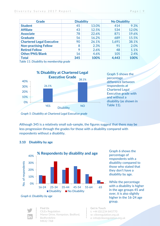| <b>Grade</b>                     | <b>Disability</b> |       | <b>No Disability</b> |       |
|----------------------------------|-------------------|-------|----------------------|-------|
| <b>Student</b>                   | 45                | 13.0% | 414                  | 9.3%  |
| <b>Affiliate</b>                 | 43                | 12.5% | 534                  | 12.0% |
| <b>Associate</b>                 | 78                | 22.6% | 871                  | 19.6% |
| <b>Graduate</b>                  | 56                | 16.2% | 689                  | 15.5% |
| <b>Chartered Legal Executive</b> | 90                | 26.1% | 1,691                | 38.1% |
| <b>Non-practising Fellow</b>     | 8                 | 2.3%  | 91                   | 2.0%  |
| <b>Retired Fellow</b>            | 9                 | 2.6%  | 48                   | 1.1%  |
| <b>Other/PNS/Blank</b>           | 16                | 4.6%  | 105                  | 2.4%  |
| <b>Total</b>                     | 345               | 100%  | 4,443                | 100%  |

*Table 11: Disability by membership grade*



*Graph 5: Disability at Chartered Legal Executive grade*

Although 345 is a relatively small sub-sample, the figures suggest that there may be less progression through the grades for those with a disability compared with respondents without a disability.

#### **3.10 Disability by age**



Graph 6 shows the percentage of respondents with a disability compared to those who stated that they don't have a disability by age.

While the percentage with a disability is higher in the age groups 45 and over, it is also slightly higher in the 16-24 age group.

#### *Graph 6: Disability by age*

**Find Us** CILEx Regulation Manor Drive, Kempston, Bedford, Bedfordshire MK42 7AB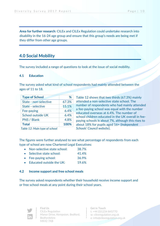**Area for further research**: CILEx and CILEx Regulation could undertake research into disability in the 16-24 age group and ensure that this group's needs are being met if they differ from other age groups.

### **4.0 Social Mobility**

The survey included a range of questions to look at the issue of social mobility.

#### **4.1 Education**

The survey asked what kind of school respondents had mainly attended between the ages of 11 to 18.

| <b>Type of School</b>                                                     | ℅     |
|---------------------------------------------------------------------------|-------|
| State - non-selective                                                     | 67.3% |
| State - selective                                                         | 15.1% |
| Fee-paying                                                                | 6.4%  |
| School outside UK                                                         | 6.4%  |
| <b>PNS / Blank</b>                                                        | 4.8%  |
| <b>Total</b>                                                              | 100%  |
| $T_{\rm eff}$ and $\sim 4.0$ and $\sim 1.0$ and $\sim 1.0$ and $\sim 1.0$ |       |

Table 12 shows that two thirds (67.3%) mainly attended a non-selective state school. The number of respondents who had mainly attended a fee-paying school was equal with the number educated overseas at 6.4%. The number of school children educated in the UK overall in feepaying schools is about 7%, although this rises to about 18% for pupils aged 16+ (*Independent Schools' Council website*).

*Table 12: Main type of school*

The figures were further analysed to see what percentage of respondents from each type of school are now Chartered Legal Executives:

- Non-selective state school: 38.7%
- Selective state school: 41.4%
- Fee-paying school: 36.9%
- Educated outside the UK: 19.6%

#### **4.2 Income support and free school meals**

The survey asked respondents whether their household receive income support and or free school meals at any point during their school years.



**Find Us** CILEx Regulation Manor Drive, Kempston, Bedford, Bedfordshire MK42 7AB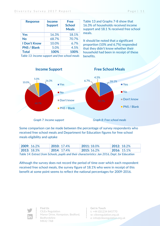| <b>Response</b>                                | <b>Income</b><br><b>Support</b> | <b>Free</b><br><b>School</b><br><b>Meals</b> |
|------------------------------------------------|---------------------------------|----------------------------------------------|
| <b>Yes</b>                                     | 16.3%                           | 18.1%                                        |
| <b>No</b>                                      | 68.7%                           | 70.7%                                        |
| I Don't Know                                   | 10.0%                           | 6.7%                                         |
| <b>PNS / Blank</b>                             | 5.0%                            | 4.5%                                         |
| <b>Total</b>                                   | 100%                            | 100%                                         |
| Table 13: Income support and free school meals |                                 |                                              |

Table 13 and Graphs 7-8 show that 16.3% of households received income support and 18.1 % received free school meals.

It should be noted that a significant proportion (10% and 6.7%) responded that they didn't know whether their household had been in receipt of these benefits.



*Graph 7: Income support*

*Graph 8: Free school meals*

Some comparison can be made between the percentage of survey respondents who received free school meals and Department for Education figures for free school meals eligibility and uptake

| $12009:16.2\%$                                      | $^{\circ}$ 2010: 17.4% | $2011:18.0\%$     | 2012:182%                 |
|-----------------------------------------------------|------------------------|-------------------|---------------------------|
| $\frac{12013:18.3\%}{ }$                            | 2014:17.4%             | $\pm$ 2015: 16.2% | $\frac{1}{2}$ 2016: 15.1% |
| エコレスス ロッシュアー・ヘリー ロー・リー・リー・リー・リー・リー・リー ハイス ハード・ロー・パー |                        |                   |                           |

*Table 14: Extract from Schools, pupils and their characteristics: Jan 2016, Dept. for Education*

Although the survey does not record the period of time over which each respondent received free school meals, the survey figure of 18.1% who were in receipt of this benefit at some point seems to reflect the national percentages for 2009-2016.



**Find Us** CILEx Regulation Manor Drive, Kempston, Bedford, Bedfordshire MK42 7AB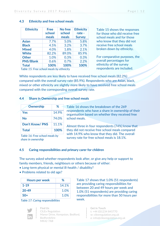| <b>Ethnicity</b> | Free<br>school<br>meals | <b>No free</b><br>school<br>meals | <b>Ethnicity</b><br>rate -<br><b>Survey</b> |
|------------------|-------------------------|-----------------------------------|---------------------------------------------|
| <b>Asian</b>     | 7.7%                    | 5.0%                              | 5.8%                                        |
| <b>Black</b>     | 4.5%                    | 3.2%                              | 3.7%                                        |
| <b>Mixed</b>     | 4.0%                    | 1.8%                              | 2.1%                                        |
| <b>White</b>     | 82.2%                   | 89.0%                             | 85.9%                                       |
| <b>Other</b>     | 1.0%                    | 0.3%                              | 0.3%                                        |
| <b>PNS/Blank</b> | 0.6%                    | 0.7%                              | 2.2%                                        |
| <b>Total</b>     | 100%                    | 100%                              | 100%                                        |

**4.3 Ethnicity and free school meals**

Table 15 shows the responses for those who did receive free school meals and for those who know that they did not receive free school meals broken down by ethnicity.

For comparative purposes, the overall percentages for ethnicity of the survey respondents are included.

*Table 15: Free school meals by ethnicity*

White respondents are less likely to have received free school meals (82.2%) compared with the overall survey rate (85.9%). Respondents who are Asian, black, mixed or other ethnicity are slightly more likely to have received free school meals compared with the corresponding overall survey rate.

#### **4.4 Share in Ownership and free school meals**

| <b>Ownership</b>       | ℅     |
|------------------------|-------|
| Yes                    | 14.9% |
| No                     | 74.0% |
| <b>Don't Know/ PNS</b> | 11.1% |
| Total                  | 100%  |

*Table 16: Free school meals by share in ownership* 

Table 16 shows the breakdown of the 269 respondents who have a share in ownership of their organisation based on whether they received free school meals.

Almost three in four respondents (74%) know that they did not receive free school meals compared with 14.9% who know that they did. The overall survey rate for free school meals is 18.1%.

#### **4.5 Caring responsibilities and primary carer for children**

The survey asked whether respondents look after, or give any help or support to family members, friends, neighbours or others because of either:

- Long-term physical or mental ill-health / disability?
- Problems related to old age?

| <b>Hours per week</b> | ℅     |
|-----------------------|-------|
| $1 - 19$              | 14.1% |
| $20 - 49$             | 1.0%  |
| $50+$                 | 1.0%  |

*Table 17: Caring responsibilities*



**Find Us** CILEx Regulation Manor Drive, Kempston, Bedford, Bedfordshire MK42 7AB

Table 17 shows that 1.0% (51 respondents) are providing caring responsibilities for between 20 and 49 hours per week and 1.0% (51 respondents) are providing caring responsibilities for more than 50 hours per week.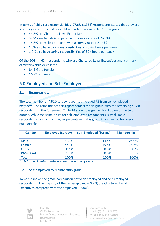In terms of child care responsibilities, 27.6% (1,353) respondents stated that they are a primary carer for a child or children under the age of 18. Of this group:

- 44.6% are Chartered Legal Executives
- 82.9% are female (compared with a survey rate of 76.8%)
- 16.6% are male (compared with a survey rate of 21.4%)
- 1.5% also have caring responsibilities of 20-49 hours per week
- 1.9% also have caring responsibilities of 50+ hours per week

Of the 604 (44.6%) respondents who are Chartered Legal Executives and a primary carer for a child or children:

- 84.1% are female
- 15.9% are male

# **5.0 Employed and Self-Employed**

#### **5.1 Response rate**

The total number of 4,910 survey responses included 72 from self-employed members. The remainder of this report compares this group with the remaining 4,838 respondents in the full survey. Table 18 shows the gender breakdown of the two groups. While the sample size for self-employed respondents is small, male respondents form a much higher percentage in this group than they do for overall membership.

| <b>Gender</b>    | <b>Employed (Survey)</b> | <b>Self-Employed (Survey)</b> | <b>Membership</b> |
|------------------|--------------------------|-------------------------------|-------------------|
| <b>Male</b>      | 21.1%                    | 44.4%                         | 25.0%             |
| <b>Female</b>    | 77.1%                    | 55.6%                         | 74.5%             |
| <b>Other</b>     | 0.1%                     | 0.0%                          | 0.5%              |
| <b>PNS/Blank</b> | 1.7%                     | 0.0%                          |                   |
| <b>Total</b>     | 100%                     | 100%                          | 100%              |

*Table 18: Employed and self-employed comparison by gender*

#### **5.2 Self-employed by membership grade**

Table 19 shows the grade comparison between employed and self-employed respondents. The majority of the self-employed (63.9%) are Chartered Legal Executives compared with the employed (36.8%).



**Find Us** CILEx Regulation Manor Drive, Kempston, Bedford, Bedfordshire MK42 7AB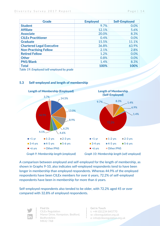| <b>Grade</b>                     | <b>Employed</b> | <b>Self-Employed</b> |
|----------------------------------|-----------------|----------------------|
| <b>Student</b>                   | 9.7%            | 0.0%                 |
| <b>Affiliate</b>                 | 12.1%           | 5.6%                 |
| <b>Associate</b>                 | 20.0%           | 8.3%                 |
| <b>CILEx Practitioner</b>        | 0.4%            | 0.0%                 |
| <b>Graduate</b>                  | 15.5%           | 11.1%                |
| <b>Chartered Legal Executive</b> | 36.8%           | 63.9%                |
| <b>Non-Practising Fellow</b>     | 2.1%            | 2.8%                 |
| <b>Retired Fellow</b>            | 1.2%            | 0.0%                 |
| <b>Other</b>                     | 0.8%            | 0.0%                 |
| <b>PNS/Blank</b>                 | 1.4%            | 8.3%                 |
| <b>Total</b>                     | 100%            | 100%                 |

*Table 19: Employed/self-employed by grade*



#### **5.3 Self-employed and length of membership**

A comparison between employed and self-employed for the length of membership, as shown in Graphs 9-10, also indicates self-employed respondents tend to have been longer in membership than employed respondents. Whereas 44.9% of the employed respondents have been CILEx members for over 6 years, 72.2% of self-employed respondents have been in membership for more than 6 years.

Self-employed respondents also tended to be older, with 72.2% aged 45 or over compared with 32.8% of employed respondents.



**Find Us** CILEx Regulation Manor Drive, Kempston, Bedford, Bedfordshire MK42 7AB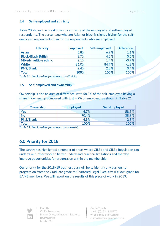#### **5.4 Self-employed and ethnicity**

Table 20 shows the breakdown by ethnicity of the employed and self-employed respondents. The percentage who are Asian or black is slightly higher for the selfemployed respondents than for the respondents who are employed.

| <b>Ethnicity</b>           | <b>Employed</b> | Self-employed | <b>Difference</b> |
|----------------------------|-----------------|---------------|-------------------|
| <b>Asian</b>               | 5.8%            | 6.9%          | 1.1%              |
| <b>Black/Black British</b> | 3.7%            | 4.2%          | 0.5%              |
| Mixed/multiple ethnic      | 2.1%            | 1.4%          | $-0.7%$           |
| <b>White</b>               | 86.0%           | 84.7%         | $-1.3%$           |
| <b>PNS/Blank</b>           | 2.4%            | 2.8%          | 0.4%              |
| <b>Total</b>               | 100%            | 100%          | 100%              |

*Table 20: Employed/self-employed by ethnicity*

#### **5.5 Self-employed and ownership**

Ownership is also an area of difference, with 58.3% of the self-employed having a share in ownership compared with just 4.7% of employed, as shown in Table 21.

| Ownership        | <b>Employed</b> | <b>Self-Employed</b> |
|------------------|-----------------|----------------------|
| <b>Yes</b>       | 4.7%            | 58.3%                |
| No               | 90.4%           | 38.9%                |
| <b>PNS/Blank</b> | 4.9%            | 2.8%                 |
| <b>Total</b>     | 100%            | 100%                 |

*Table 21: Employed/self-employed by ownership*

# **6.0 Priority for 2018**

The survey has highlighted a number of areas where CILEx and CILEx Regulation can undertake further work to better understand practical limitations and thereby improve opportunities for progression within the membership.

Our priority for the 2018/19 business plan will be to identify any barriers to progression from the Graduate grade to Chartered Legal Executive (Fellow) grade for BAME members. We will report on the results of this piece of work in 2019.



**Find Us** CILEx Regulation Manor Drive, Kempston, Bedford, Bedfordshire MK42 7AB